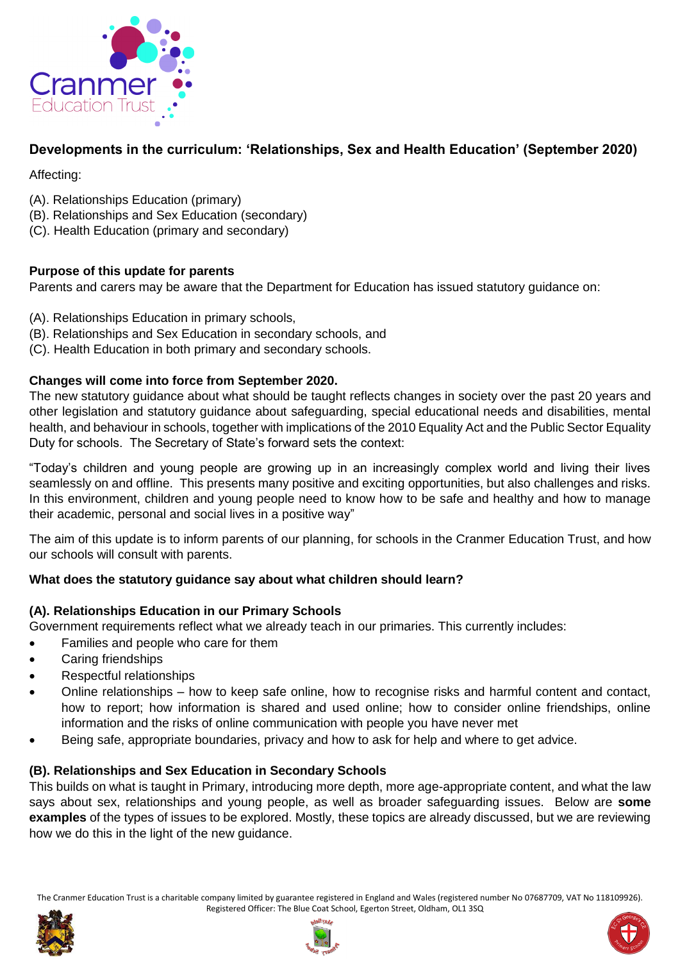

# **Developments in the curriculum: 'Relationships, Sex and Health Education' (September 2020)**

Affecting:

- (A). Relationships Education (primary)
- (B). Relationships and Sex Education (secondary)
- (C). Health Education (primary and secondary)

# **Purpose of this update for parents**

Parents and carers may be aware that the Department for Education has issued statutory guidance on:

- (A). Relationships Education in primary schools,
- (B). Relationships and Sex Education in secondary schools, and
- (C). Health Education in both primary and secondary schools.

### **Changes will come into force from September 2020.**

The new statutory guidance about what should be taught reflects changes in society over the past 20 years and other legislation and statutory guidance about safeguarding, special educational needs and disabilities, mental health, and behaviour in schools, together with implications of the 2010 Equality Act and the Public Sector Equality Duty for schools. The Secretary of State's forward sets the context:

"Today's children and young people are growing up in an increasingly complex world and living their lives seamlessly on and offline. This presents many positive and exciting opportunities, but also challenges and risks. In this environment, children and young people need to know how to be safe and healthy and how to manage their academic, personal and social lives in a positive way"

The aim of this update is to inform parents of our planning, for schools in the Cranmer Education Trust, and how our schools will consult with parents.

### **What does the statutory guidance say about what children should learn?**

### **(A). Relationships Education in our Primary Schools**

Government requirements reflect what we already teach in our primaries. This currently includes:

- Families and people who care for them
- Caring friendships
- Respectful relationships
- Online relationships how to keep safe online, how to recognise risks and harmful content and contact, how to report; how information is shared and used online; how to consider online friendships, online information and the risks of online communication with people you have never met
- Being safe, appropriate boundaries, privacy and how to ask for help and where to get advice.

### **(B). Relationships and Sex Education in Secondary Schools**

This builds on what is taught in Primary, introducing more depth, more age-appropriate content, and what the law says about sex, relationships and young people, as well as broader safeguarding issues. Below are **some examples** of the types of issues to be explored. Mostly, these topics are already discussed, but we are reviewing how we do this in the light of the new guidance.





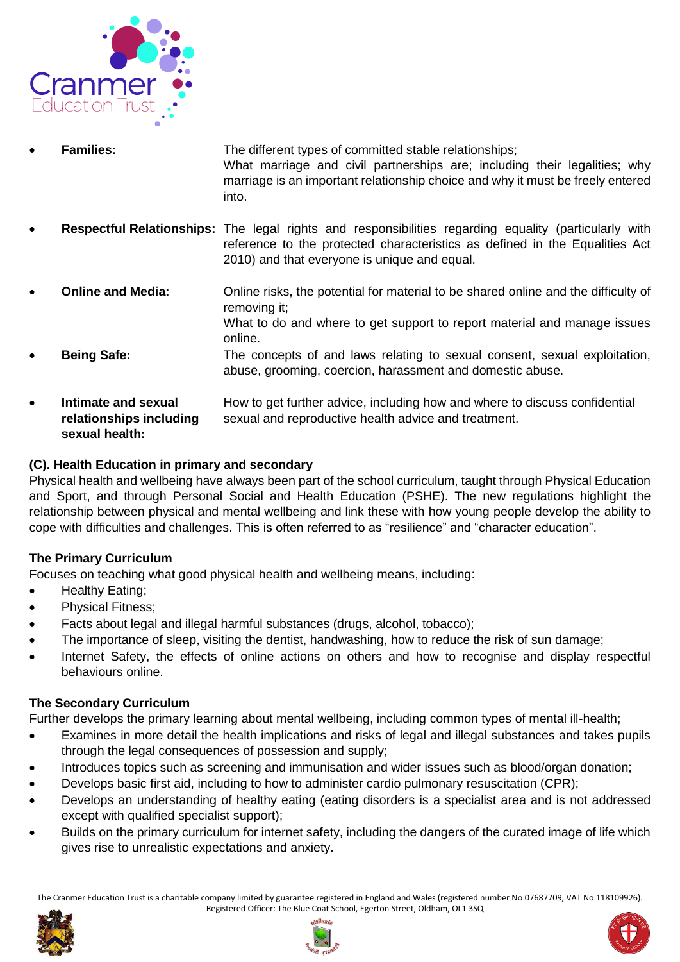

- **Families:** The different types of committed stable relationships; What marriage and civil partnerships are; including their legalities; why marriage is an important relationship choice and why it must be freely entered into.
- **Respectful Relationships:** The legal rights and responsibilities regarding equality (particularly with reference to the protected characteristics as defined in the Equalities Act 2010) and that everyone is unique and equal.
- **Online and Media:** Online risks, the potential for material to be shared online and the difficulty of removing it; What to do and where to get support to report material and manage issues online.
- **Being Safe:** The concepts of and laws relating to sexual consent, sexual exploitation, abuse, grooming, coercion, harassment and domestic abuse.
- **Intimate and sexual <b>How** to get further advice, including how and where to discuss confidential **relationships including** sexual and reproductive health advice and treatment. **sexual health:**

# **(C). Health Education in primary and secondary**

Physical health and wellbeing have always been part of the school curriculum, taught through Physical Education and Sport, and through Personal Social and Health Education (PSHE). The new regulations highlight the relationship between physical and mental wellbeing and link these with how young people develop the ability to cope with difficulties and challenges. This is often referred to as "resilience" and "character education".

### **The Primary Curriculum**

Focuses on teaching what good physical health and wellbeing means, including:

- Healthy Eating;
- Physical Fitness;
- Facts about legal and illegal harmful substances (drugs, alcohol, tobacco);
- The importance of sleep, visiting the dentist, handwashing, how to reduce the risk of sun damage;
- Internet Safety, the effects of online actions on others and how to recognise and display respectful behaviours online.

### **The Secondary Curriculum**

Further develops the primary learning about mental wellbeing, including common types of mental ill-health;

- Examines in more detail the health implications and risks of legal and illegal substances and takes pupils through the legal consequences of possession and supply;
- Introduces topics such as screening and immunisation and wider issues such as blood/organ donation;
- Develops basic first aid, including to how to administer cardio pulmonary resuscitation (CPR);
- Develops an understanding of healthy eating (eating disorders is a specialist area and is not addressed except with qualified specialist support);
- Builds on the primary curriculum for internet safety, including the dangers of the curated image of life which gives rise to unrealistic expectations and anxiety.





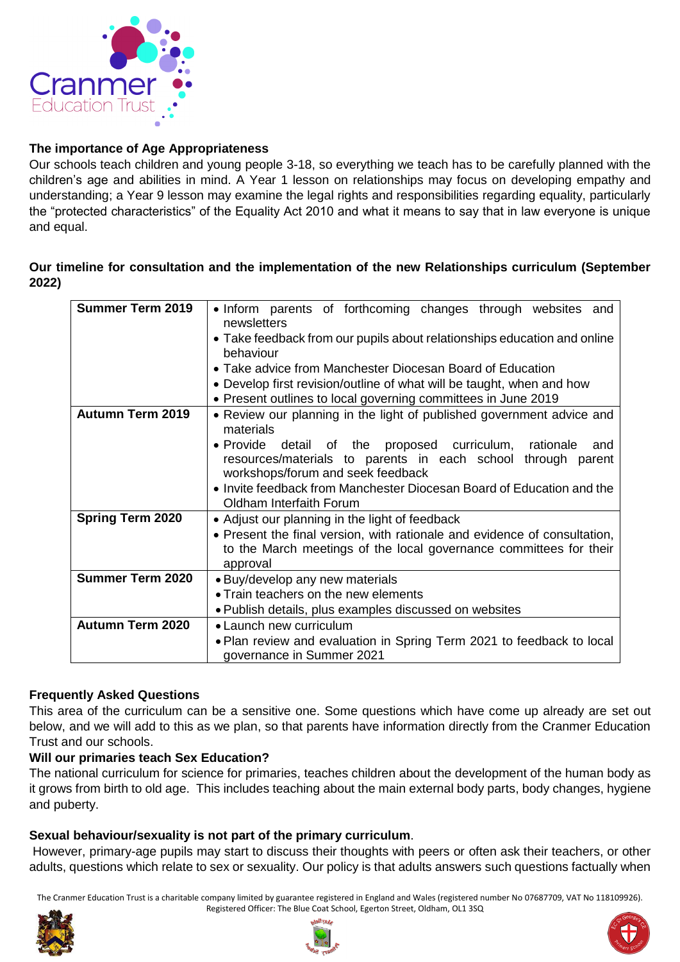

### **The importance of Age Appropriateness**

Our schools teach children and young people 3-18, so everything we teach has to be carefully planned with the children's age and abilities in mind. A Year 1 lesson on relationships may focus on developing empathy and understanding; a Year 9 lesson may examine the legal rights and responsibilities regarding equality, particularly the "protected characteristics" of the Equality Act 2010 and what it means to say that in law everyone is unique and equal.

#### **Our timeline for consultation and the implementation of the new Relationships curriculum (September 2022)**

| <b>Summer Term 2019</b> | • Inform parents of forthcoming changes through websites and<br>newsletters<br>• Take feedback from our pupils about relationships education and online                                                                                        |
|-------------------------|------------------------------------------------------------------------------------------------------------------------------------------------------------------------------------------------------------------------------------------------|
|                         | behaviour                                                                                                                                                                                                                                      |
|                         | • Take advice from Manchester Diocesan Board of Education                                                                                                                                                                                      |
|                         | • Develop first revision/outline of what will be taught, when and how                                                                                                                                                                          |
|                         | • Present outlines to local governing committees in June 2019                                                                                                                                                                                  |
| <b>Autumn Term 2019</b> | • Review our planning in the light of published government advice and<br>materials                                                                                                                                                             |
|                         | • Provide detail of the proposed curriculum,<br>rationale<br>and<br>resources/materials to parents in each school through parent<br>workshops/forum and seek feedback<br>• Invite feedback from Manchester Diocesan Board of Education and the |
|                         | Oldham Interfaith Forum                                                                                                                                                                                                                        |
| <b>Spring Term 2020</b> | • Adjust our planning in the light of feedback<br>• Present the final version, with rationale and evidence of consultation,<br>to the March meetings of the local governance committees for their<br>approval                                  |
| <b>Summer Term 2020</b> | • Buy/develop any new materials                                                                                                                                                                                                                |
|                         | • Train teachers on the new elements                                                                                                                                                                                                           |
|                         | • Publish details, plus examples discussed on websites                                                                                                                                                                                         |
| <b>Autumn Term 2020</b> | • Launch new curriculum                                                                                                                                                                                                                        |
|                         | • Plan review and evaluation in Spring Term 2021 to feedback to local<br>governance in Summer 2021                                                                                                                                             |

#### **Frequently Asked Questions**

This area of the curriculum can be a sensitive one. Some questions which have come up already are set out below, and we will add to this as we plan, so that parents have information directly from the Cranmer Education Trust and our schools.

#### **Will our primaries teach Sex Education?**

The national curriculum for science for primaries, teaches children about the development of the human body as it grows from birth to old age. This includes teaching about the main external body parts, body changes, hygiene and puberty.

#### **Sexual behaviour/sexuality is not part of the primary curriculum**.

However, primary-age pupils may start to discuss their thoughts with peers or often ask their teachers, or other adults, questions which relate to sex or sexuality. Our policy is that adults answers such questions factually when





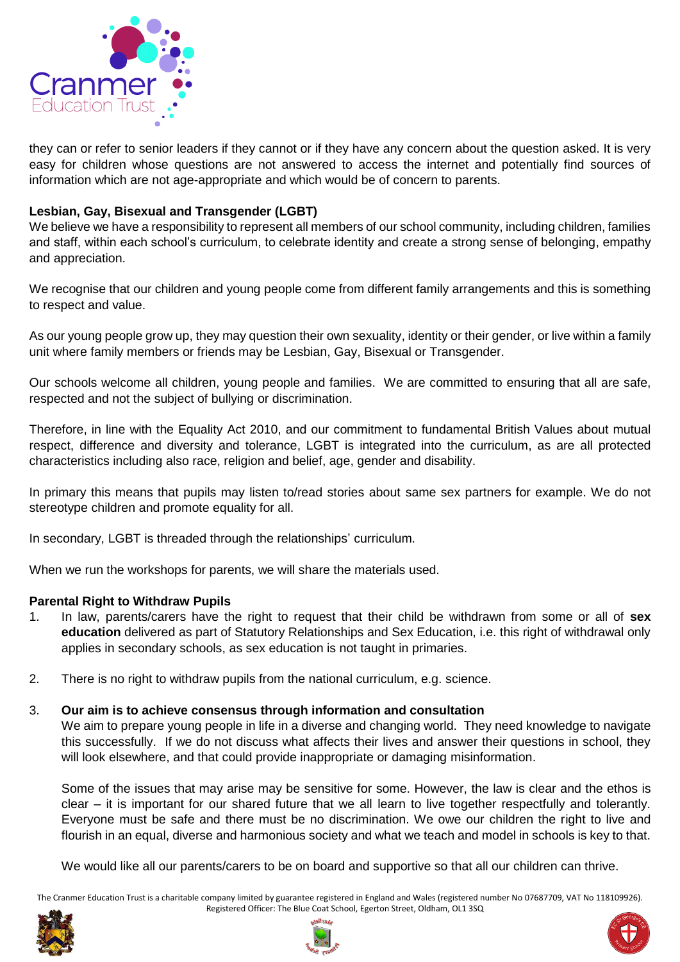

they can or refer to senior leaders if they cannot or if they have any concern about the question asked. It is very easy for children whose questions are not answered to access the internet and potentially find sources of information which are not age-appropriate and which would be of concern to parents.

#### **Lesbian, Gay, Bisexual and Transgender (LGBT)**

We believe we have a responsibility to represent all members of our school community, including children, families and staff, within each school's curriculum, to celebrate identity and create a strong sense of belonging, empathy and appreciation.

We recognise that our children and young people come from different family arrangements and this is something to respect and value.

As our young people grow up, they may question their own sexuality, identity or their gender, or live within a family unit where family members or friends may be Lesbian, Gay, Bisexual or Transgender.

Our schools welcome all children, young people and families. We are committed to ensuring that all are safe, respected and not the subject of bullying or discrimination.

Therefore, in line with the Equality Act 2010, and our commitment to fundamental British Values about mutual respect, difference and diversity and tolerance, LGBT is integrated into the curriculum, as are all protected characteristics including also race, religion and belief, age, gender and disability.

In primary this means that pupils may listen to/read stories about same sex partners for example. We do not stereotype children and promote equality for all.

In secondary, LGBT is threaded through the relationships' curriculum.

When we run the workshops for parents, we will share the materials used.

#### **Parental Right to Withdraw Pupils**

- 1. In law, parents/carers have the right to request that their child be withdrawn from some or all of **sex education** delivered as part of Statutory Relationships and Sex Education, i.e. this right of withdrawal only applies in secondary schools, as sex education is not taught in primaries.
- 2. There is no right to withdraw pupils from the national curriculum, e.g. science.

#### 3. **Our aim is to achieve consensus through information and consultation**

We aim to prepare young people in life in a diverse and changing world. They need knowledge to navigate this successfully. If we do not discuss what affects their lives and answer their questions in school, they will look elsewhere, and that could provide inappropriate or damaging misinformation.

Some of the issues that may arise may be sensitive for some. However, the law is clear and the ethos is clear – it is important for our shared future that we all learn to live together respectfully and tolerantly. Everyone must be safe and there must be no discrimination. We owe our children the right to live and flourish in an equal, diverse and harmonious society and what we teach and model in schools is key to that.

We would like all our parents/carers to be on board and supportive so that all our children can thrive.